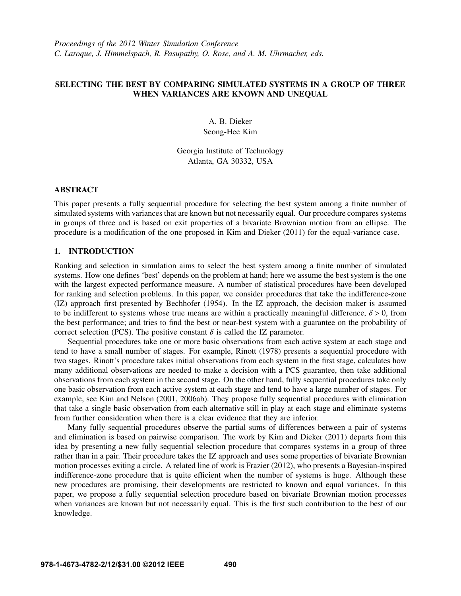# SELECTING THE BEST BY COMPARING SIMULATED SYSTEMS IN A GROUP OF THREE WHEN VARIANCES ARE KNOWN AND UNEQUAL

A. B. Dieker Seong-Hee Kim

Georgia Institute of Technology Atlanta, GA 30332, USA

## ABSTRACT

This paper presents a fully sequential procedure for selecting the best system among a finite number of simulated systems with variances that are known but not necessarily equal. Our procedure compares systems in groups of three and is based on exit properties of a bivariate Brownian motion from an ellipse. The procedure is a modification of the one proposed in Kim and Dieker (2011) for the equal-variance case.

### 1. INTRODUCTION

Ranking and selection in simulation aims to select the best system among a finite number of simulated systems. How one defines 'best' depends on the problem at hand; here we assume the best system is the one with the largest expected performance measure. A number of statistical procedures have been developed for ranking and selection problems. In this paper, we consider procedures that take the indifference-zone (IZ) approach first presented by Bechhofer (1954). In the IZ approach, the decision maker is assumed to be indifferent to systems whose true means are within a practically meaningful difference,  $\delta > 0$ , from the best performance; and tries to find the best or near-best system with a guarantee on the probability of correct selection (PCS). The positive constant  $\delta$  is called the IZ parameter.

Sequential procedures take one or more basic observations from each active system at each stage and tend to have a small number of stages. For example, Rinott (1978) presents a sequential procedure with two stages. Rinott's procedure takes initial observations from each system in the first stage, calculates how many additional observations are needed to make a decision with a PCS guarantee, then take additional observations from each system in the second stage. On the other hand, fully sequential procedures take only one basic observation from each active system at each stage and tend to have a large number of stages. For example, see Kim and Nelson (2001, 2006ab). They propose fully sequential procedures with elimination that take a single basic observation from each alternative still in play at each stage and eliminate systems from further consideration when there is a clear evidence that they are inferior.

Many fully sequential procedures observe the partial sums of differences between a pair of systems and elimination is based on pairwise comparison. The work by Kim and Dieker (2011) departs from this idea by presenting a new fully sequential selection procedure that compares systems in a group of three rather than in a pair. Their procedure takes the IZ approach and uses some properties of bivariate Brownian motion processes exiting a circle. A related line of work is Frazier (2012), who presents a Bayesian-inspired indifference-zone procedure that is quite efficient when the number of systems is huge. Although these new procedures are promising, their developments are restricted to known and equal variances. In this paper, we propose a fully sequential selection procedure based on bivariate Brownian motion processes when variances are known but not necessarily equal. This is the first such contribution to the best of our knowledge.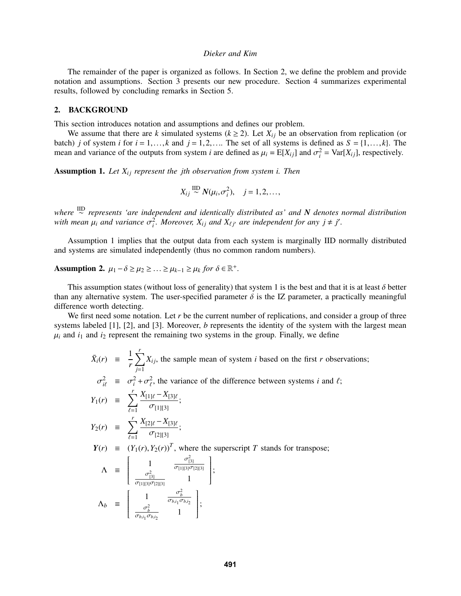The remainder of the paper is organized as follows. In Section 2, we define the problem and provide notation and assumptions. Section 3 presents our new procedure. Section 4 summarizes experimental results, followed by concluding remarks in Section 5.

### 2. BACKGROUND

This section introduces notation and assumptions and defines our problem.

We assume that there are *k* simulated systems ( $k \ge 2$ ). Let  $X_{ij}$  be an observation from replication (or batch) *j* of system *i* for  $i = 1, ..., k$  and  $j = 1, 2, ...$  The set of all systems is defined as  $S = \{1, ..., k\}$ . The mean and variance of the outputs from system *i* are defined as  $\mu_i = E[X_{ij}]$  and  $\sigma_i^2 = \text{Var}[X_{ij}]$ , respectively.

Assumption 1. Let  $X_{ij}$  represent the *j*th observation from system *i*. Then

$$
X_{ij} \stackrel{\text{IID}}{\sim} N(\mu_i, \sigma_i^2), \quad j = 1, 2, \dots,
$$

*where* IID ∼ *represents 'are independent and identically distributed as' and N denotes normal distribution* with mean  $\mu_i$  and variance  $\sigma_i^2$ . Moreover,  $X_{ij}$  and  $X_{\ell j'}$  are independent for any  $j \neq j'$ .

Assumption 1 implies that the output data from each system is marginally IID normally distributed and systems are simulated independently (thus no common random numbers).

Assumption 2.  $\mu_1 - \delta \ge \mu_2 \ge ... \ge \mu_{k-1} \ge \mu_k$  *for*  $\delta \in \mathbb{R}^+$ *.* 

This assumption states (without loss of generality) that system 1 is the best and that it is at least  $\delta$  better than any alternative system. The user-specified parameter  $\delta$  is the IZ parameter, a practically meaningful difference worth detecting.

We first need some notation. Let r be the current number of replications, and consider a group of three systems labeled [1], [2], and [3]. Moreover, *b* represents the identity of the system with the largest mean  $\mu_i$  and  $i_1$  and  $i_2$  represent the remaining two systems in the group. Finally, we define

$$
\bar{X}_i(r) = \frac{1}{r} \sum_{j=1}^r X_{ij}
$$
, the sample mean of system *i* based on the first *r* observations;  
\n
$$
\sigma_{i\ell}^2 = \sigma_i^2 + \sigma_\ell^2
$$
, the variance of the difference between systems *i* and *\ell*;  
\n
$$
Y_1(r) = \sum_{\ell=1}^r \frac{X_{[1]\ell} - X_{[3]\ell}}{\sigma_{[1][3]}};
$$
\n
$$
Y_2(r) = \sum_{\ell=1}^r \frac{X_{[2]\ell} - X_{[3]\ell}}{\sigma_{[2][3]}};
$$
\n
$$
Y(r) = (Y_1(r), Y_2(r))^T
$$
, where the superscript *T* stands for transpose;  
\n
$$
\Lambda = \begin{bmatrix} 1 & \frac{\sigma_{[3]}^2}{\sigma_{[1][3]\sigma_{[2][3]}}} \\ \frac{\sigma_{[3]}^2}{\sigma_{[1][3]\sigma_{[2][3]}}} & 1 \end{bmatrix};
$$
\n
$$
\Lambda_b = \begin{bmatrix} 1 & \frac{\sigma_b^2}{\sigma_{b_{i_1}\sigma_{b_{i_2}}}} \\ \frac{\sigma_b^2}{\sigma_{b_{i_1}\sigma_{b_{i_2}}}} & 1 \end{bmatrix};
$$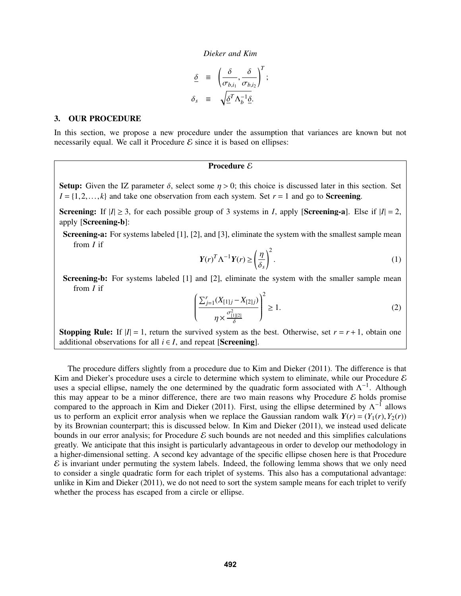$$
\begin{aligned}\n\underline{\delta} &= \left( \frac{\delta}{\sigma_{b,i_1}}, \frac{\delta}{\sigma_{b,i_2}} \right)^T; \\
\delta_s &= \sqrt{\underline{\delta}^T \Lambda_b^{-1} \underline{\delta}}.\n\end{aligned}
$$

#### 3. OUR PROCEDURE

In this section, we propose a new procedure under the assumption that variances are known but not necessarily equal. We call it Procedure  $\mathcal E$  since it is based on ellipses:

## Procedure  $\mathcal E$

Setup: Given the IZ parameter  $\delta$ , select some  $\eta > 0$ ; this choice is discussed later in this section. Set  $I = \{1, 2, \ldots, k\}$  and take one observation from each system. Set  $r = 1$  and go to **Screening**.

**Screening:** If  $|I| \geq 3$ , for each possible group of 3 systems in *I*, apply [**Screening-a**]. Else if  $|I| = 2$ , apply [Screening-b]:

Screening-a: For systems labeled [1], [2], and [3], eliminate the system with the smallest sample mean from *I* if

$$
Y(r)^T \Lambda^{-1} Y(r) \ge \left(\frac{\eta}{\delta_s}\right)^2.
$$
 (1)

Screening-b: For systems labeled [1] and [2], eliminate the system with the smaller sample mean from *I* if

$$
\left(\frac{\sum_{j=1}^{r}(X_{[1]j}-X_{[2]j})}{\eta \times \frac{\sigma_{[1][2]}^2}{\delta}}\right)^2 \ge 1.
$$
\n(2)

**Stopping Rule:** If  $|I| = 1$ , return the survived system as the best. Otherwise, set  $r = r + 1$ , obtain one additional observations for all  $i \in I$ , and repeat [Screening].

The procedure differs slightly from a procedure due to Kim and Dieker (2011). The difference is that Kim and Dieker's procedure uses a circle to determine which system to eliminate, while our Procedure  $\mathcal E$ uses a special ellipse, namely the one determined by the quadratic form associated with  $\Lambda^{-1}$ . Although this may appear to be a minor difference, there are two main reasons why Procedure  $\mathcal E$  holds promise compared to the approach in Kim and Dieker (2011). First, using the ellipse determined by  $\Lambda^{-1}$  allows us to perform an explicit error analysis when we replace the Gaussian random walk  $Y(r) = (Y_1(r), Y_2(r))$ by its Brownian counterpart; this is discussed below. In Kim and Dieker (2011), we instead used delicate bounds in our error analysis; for Procedure  $\mathcal E$  such bounds are not needed and this simplifies calculations greatly. We anticipate that this insight is particularly advantageous in order to develop our methodology in a higher-dimensional setting. A second key advantage of the specific ellipse chosen here is that Procedure  $\mathcal E$  is invariant under permuting the system labels. Indeed, the following lemma shows that we only need to consider a single quadratic form for each triplet of systems. This also has a computational advantage: unlike in Kim and Dieker (2011), we do not need to sort the system sample means for each triplet to verify whether the process has escaped from a circle or ellipse.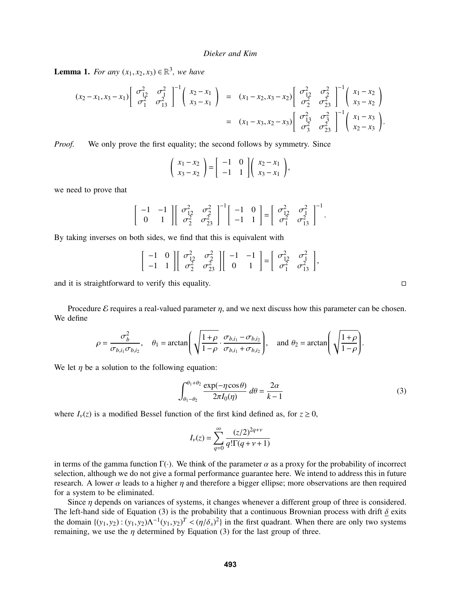**Lemma 1.** *For any*  $(x_1, x_2, x_3) \in \mathbb{R}^3$ , *we have* 

$$
(x_2 - x_1, x_3 - x_1) \begin{bmatrix} \sigma_{12}^2 & \sigma_1^2 \\ \sigma_1^2 & \sigma_{13}^2 \end{bmatrix}^{-1} \begin{bmatrix} x_2 - x_1 \\ x_3 - x_1 \end{bmatrix} = (x_1 - x_2, x_3 - x_2) \begin{bmatrix} \sigma_{12}^2 & \sigma_2^2 \\ \sigma_2^2 & \sigma_{23}^2 \end{bmatrix}^{-1} \begin{bmatrix} x_1 - x_2 \\ x_3 - x_2 \end{bmatrix}
$$
  
=  $(x_1 - x_3, x_2 - x_3) \begin{bmatrix} \sigma_{13}^2 & \sigma_3^2 \\ \sigma_3^2 & \sigma_{23}^2 \end{bmatrix}^{-1} \begin{bmatrix} x_1 - x_3 \\ x_2 - x_3 \end{bmatrix}.$ 

*Proof.* We only prove the first equality; the second follows by symmetry. Since

$$
\left(\begin{array}{c}x_1-x_2\\x_3-x_2\end{array}\right)=\left[\begin{array}{cc}-1&0\\-1&1\end{array}\right]\left(\begin{array}{c}x_2-x_1\\x_3-x_1\end{array}\right),
$$

we need to prove that

$$
\begin{bmatrix} -1 & -1 \\ 0 & 1 \end{bmatrix} \begin{bmatrix} \sigma_{12}^2 & \sigma_2^2 \\ \sigma_2^2 & \sigma_{23}^2 \end{bmatrix}^{-1} \begin{bmatrix} -1 & 0 \\ -1 & 1 \end{bmatrix} = \begin{bmatrix} \sigma_{12}^2 & \sigma_1^2 \\ \sigma_1^2 & \sigma_{13}^2 \end{bmatrix}^{-1}.
$$

By taking inverses on both sides, we find that this is equivalent with

$$
\begin{bmatrix} -1 & 0 \\ -1 & 1 \end{bmatrix} \begin{bmatrix} \sigma_{12}^2 & \sigma_2^2 \\ \sigma_2^2 & \sigma_{23}^2 \end{bmatrix} \begin{bmatrix} -1 & -1 \\ 0 & 1 \end{bmatrix} = \begin{bmatrix} \sigma_{12}^2 & \sigma_1^2 \\ \sigma_1^2 & \sigma_{13}^2 \end{bmatrix},
$$

and it is straightforward to verify this equality.  $\Box$ 

Procedure  $\mathcal E$  requires a real-valued parameter  $\eta$ , and we next discuss how this parameter can be chosen. We define

$$
\rho = \frac{\sigma_b^2}{\sigma_{b,i_1}\sigma_{b,i_2}}, \quad \theta_1 = \arctan\left(\sqrt{\frac{1+\rho}{1-\rho}} \cdot \frac{\sigma_{b,i_1} - \sigma_{b,i_2}}{\sigma_{b,i_1} + \sigma_{b,i_2}}\right), \quad \text{and } \theta_2 = \arctan\left(\sqrt{\frac{1+\rho}{1-\rho}}\right).
$$

We let  $\eta$  be a solution to the following equation:

$$
\int_{\theta_1 - \theta_2}^{\theta_1 + \theta_2} \frac{\exp(-\eta \cos \theta)}{2\pi I_0(\eta)} d\theta = \frac{2\alpha}{k - 1}
$$
 (3)

where  $I_{\nu}(z)$  is a modified Bessel function of the first kind defined as, for  $z \ge 0$ ,

$$
I_{\nu}(z) = \sum_{q=0}^{\infty} \frac{(z/2)^{2q+\nu}}{q!\Gamma(q+\nu+1)}
$$

in terms of the gamma function  $\Gamma(\cdot)$ . We think of the parameter  $\alpha$  as a proxy for the probability of incorrect selection, although we do not give a formal performance guarantee here. We intend to address this in future research. A lower  $\alpha$  leads to a higher  $\eta$  and therefore a bigger ellipse; more observations are then required for a system to be eliminated.

Since *n* depends on variances of systems, it changes whenever a different group of three is considered. The left-hand side of Equation (3) is the probability that a continuous Brownian process with drift  $\delta$  exits the domain  $\{(y_1, y_2) : (y_1, y_2) \Lambda^{-1} (y_1, y_2)^T < (\eta/\delta_s)^2 \}$  in the first quadrant. When there are only two systems remaining we use the *n* determined by Faustion (3) for the last group of three remaining, we use the  $\eta$  determined by Equation (3) for the last group of three.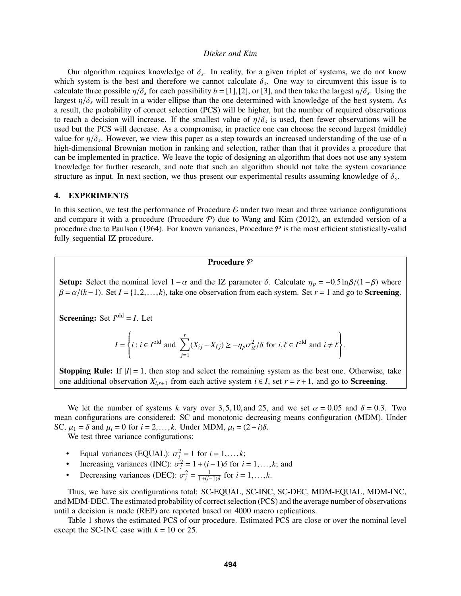Our algorithm requires knowledge of  $\delta_s$ . In reality, for a given triplet of systems, we do not know<br>the system is the best and therefore we cannot calculate  $\delta$ . One way to circumvent this issue is to which system is the best and therefore we cannot calculate  $\delta_s$ . One way to circumvent this issue is to calculate three possible  $n/\delta$  for each possibility  $b = [1]$  [2] or [3] and then take the largest  $n/\delta$  [Using the calculate three possible  $\eta/\delta_s$  for each possibility  $b = [1], [2]$ , or [3], and then take the largest  $\eta/\delta_s$ . Using the largest  $\eta/\delta_s$  will result in a wider ellipse than the one determined with knowledge of the best syst largest  $\eta/\delta_s$  will result in a wider ellipse than the one determined with knowledge of the best system. As a result, the probability of correct selection (PCS) will be higher, but the number of required observations to reach a decision will increase. If the smallest value of  $\eta/\delta_s$  is used, then fewer observations will be performed to the PCS will decrease. As a compromise in practice one can choose the second largest (middle) used but the PCS will decrease. As a compromise, in practice one can choose the second largest (middle) value for  $\eta/\delta_s$ . However, we view this paper as a step towards an increased understanding of the use of a<br>high-dimensional Brownian motion in ranking and selection, rather than that it provides a procedure that high-dimensional Brownian motion in ranking and selection, rather than that it provides a procedure that can be implemented in practice. We leave the topic of designing an algorithm that does not use any system knowledge for further research, and note that such an algorithm should not take the system covariance structure as input. In next section, we thus present our experimental results assuming knowledge of  $\delta_s$ .

### 4. EXPERIMENTS

In this section, we test the performance of Procedure  $\mathcal E$  under two mean and three variance configurations and compare it with a procedure (Procedure  $P$ ) due to Wang and Kim (2012), an extended version of a procedure due to Paulson (1964). For known variances, Procedure  $P$  is the most efficient statistically-valid fully sequential IZ procedure.

# Procedure  $\overline{P}$

Setup: Select the nominal level  $1-\alpha$  and the IZ parameter  $\delta$ . Calculate  $\eta_p = -0.5\ln\beta/(1-\beta)$  where  $\beta = \alpha/(k-1)$ . Set *I* = {1,2,...,*k*}, take one observation from each system. Set *r* = 1 and go to **Screening**.

**Screening:** Set  $I^{old} = I$ . Let

$$
I = \left\{ i : i \in I^{\text{old}} \text{ and } \sum_{j=1}^{r} (X_{ij} - X_{\ell j}) \ge -\eta_p \sigma_{i\ell}^2 / \delta \text{ for } i, \ell \in I^{\text{old}} \text{ and } i \ne \ell \right\}
$$

**Stopping Rule:** If  $|I| = 1$ , then stop and select the remaining system as the best one. Otherwise, take one additional observation  $X_{i,r+1}$  from each active system  $i \in I$ , set  $r = r + 1$ , and go to **Screening**.

We let the number of systems *k* vary over 3,5,10, and 25, and we set  $\alpha = 0.05$  and  $\delta = 0.3$ . Two mean configurations are considered: SC and monotonic decreasing means configuration (MDM). Under SC,  $\mu_1 = \delta$  and  $\mu_i = 0$  for  $i = 2, \ldots, k$ . Under MDM,  $\mu_i = (2 - i)\delta$ .

We test three variance configurations:

- Equal variances (EQUAL):  $\sigma_i^2 = 1$  for  $i = 1, \ldots, k$ ;<br>**•** Ipercessing variances (INC):  $\sigma_i^2 = 1 + (i 1)\delta$  for *i*
- Increasing variances (INC):  $\sigma_i^2 = 1 + (i-1)\delta$  for  $i = 1, ..., k$ ; and<br>**•** Decreasing variances (DEC):  $\sigma_i^2 = \frac{1}{k}$  for  $i = 1, ..., k$
- Decreasing variances (DEC):  $\sigma_i^2 = \frac{1}{1 + (i-1)\delta}$  for  $i = 1, ..., k$ .

Thus, we have six configurations total: SC-EQUAL, SC-INC, SC-DEC, MDM-EQUAL, MDM-INC, and MDM-DEC. The estimated probability of correct selection (PCS) and the average number of observations until a decision is made (REP) are reported based on 4000 macro replications.

Table 1 shows the estimated PCS of our procedure. Estimated PCS are close or over the nominal level except the SC-INC case with  $k = 10$  or 25.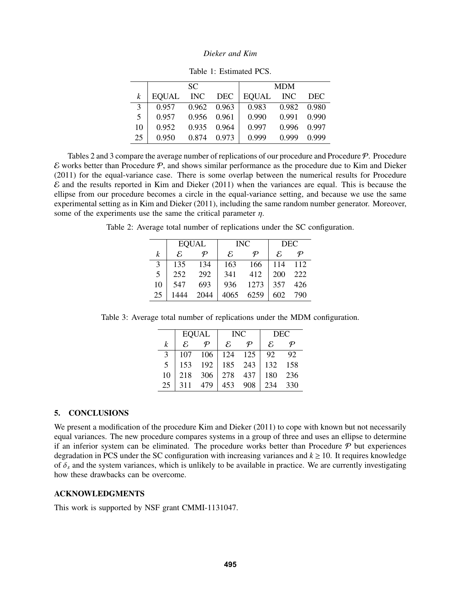|    | SC.   |            |            | <b>MDM</b>   |            |            |
|----|-------|------------|------------|--------------|------------|------------|
| k  | EQUAL | <b>INC</b> | <b>DEC</b> | <b>EQUAL</b> | <b>INC</b> | <b>DEC</b> |
| 3  | 0.957 | 0.962      | 0.963      | 0.983        | 0.982      | 0.980      |
| 5  | 0.957 | 0.956      | 0.961      | 0.990        | 0.991      | 0.990      |
| 10 | 0.952 | 0.935      | 0.964      | 0.997        | 0.996      | 0.997      |
| 25 | 0.950 | 0.874      | 0.973      | 0.999        | 0.999      | 0.999      |

Table 1: Estimated PCS.

Tables 2 and 3 compare the average number of replications of our procedure and Procedure  $P$ . Procedure  $\mathcal E$  works better than Procedure  $\mathcal P$ , and shows similar performance as the procedure due to Kim and Dieker (2011) for the equal-variance case. There is some overlap between the numerical results for Procedure  $\mathcal E$  and the results reported in Kim and Dieker (2011) when the variances are equal. This is because the ellipse from our procedure becomes a circle in the equal-variance setting, and because we use the same experimental setting as in Kim and Dieker (2011), including the same random number generator. Moreover, some of the experiments use the same the critical parameter  $\eta$ .

Table 2: Average total number of replications under the SC configuration.

|    | <b>EQUAL</b>                |           | <b>INC</b>                  |           | <b>DEC</b>    |     |
|----|-----------------------------|-----------|-----------------------------|-----------|---------------|-----|
| k  | $\mathcal{E}_{\mathcal{E}}$ | $\varphi$ | $\mathcal{E}_{\mathcal{E}}$ | $\varphi$ | $\mathcal{E}$ | Ф   |
| 3  | 135                         | 134       | 163                         | 166       | 114           | 112 |
| 5  | 252                         | 292       | 341                         | 412       | 200           | 222 |
| 10 | 547                         | 693       | 936                         | 1273      | 357           | 426 |
| 25 | 1444                        | 2044      | 4065                        | 6259      | 602           | 790 |

Table 3: Average total number of replications under the MDM configuration.

|    | <b>EQUAL</b>      |           | <b>INC</b>        |       | <b>DEC</b>    |     |
|----|-------------------|-----------|-------------------|-------|---------------|-----|
| k  | $\mathcal{E}_{i}$ | $\varphi$ | $\mathcal{E}_{i}$ | Ф     | $\mathcal{E}$ |     |
| 3  | 107               | 106       | 124               | - 125 | 92            | 92  |
| 5  | 153               | 192       | 185               | 243   | 132           | 158 |
| 10 | 218               | 306       | 278               | 437   | 180           | 236 |
| 25 | 311               | 479       | 453               | 908   | 234           | 330 |

## 5. CONCLUSIONS

We present a modification of the procedure Kim and Dieker (2011) to cope with known but not necessarily equal variances. The new procedure compares systems in a group of three and uses an ellipse to determine if an inferior system can be eliminated. The procedure works better than Procedure  $P$  but experiences degradation in PCS under the SC configuration with increasing variances and  $k \ge 10$ . It requires knowledge of  $\delta_s$  and the system variances, which is unlikely to be available in practice. We are currently investigating how these drawbacks can be overcome.

# ACKNOWLEDGMENTS

This work is supported by NSF grant CMMI-1131047.